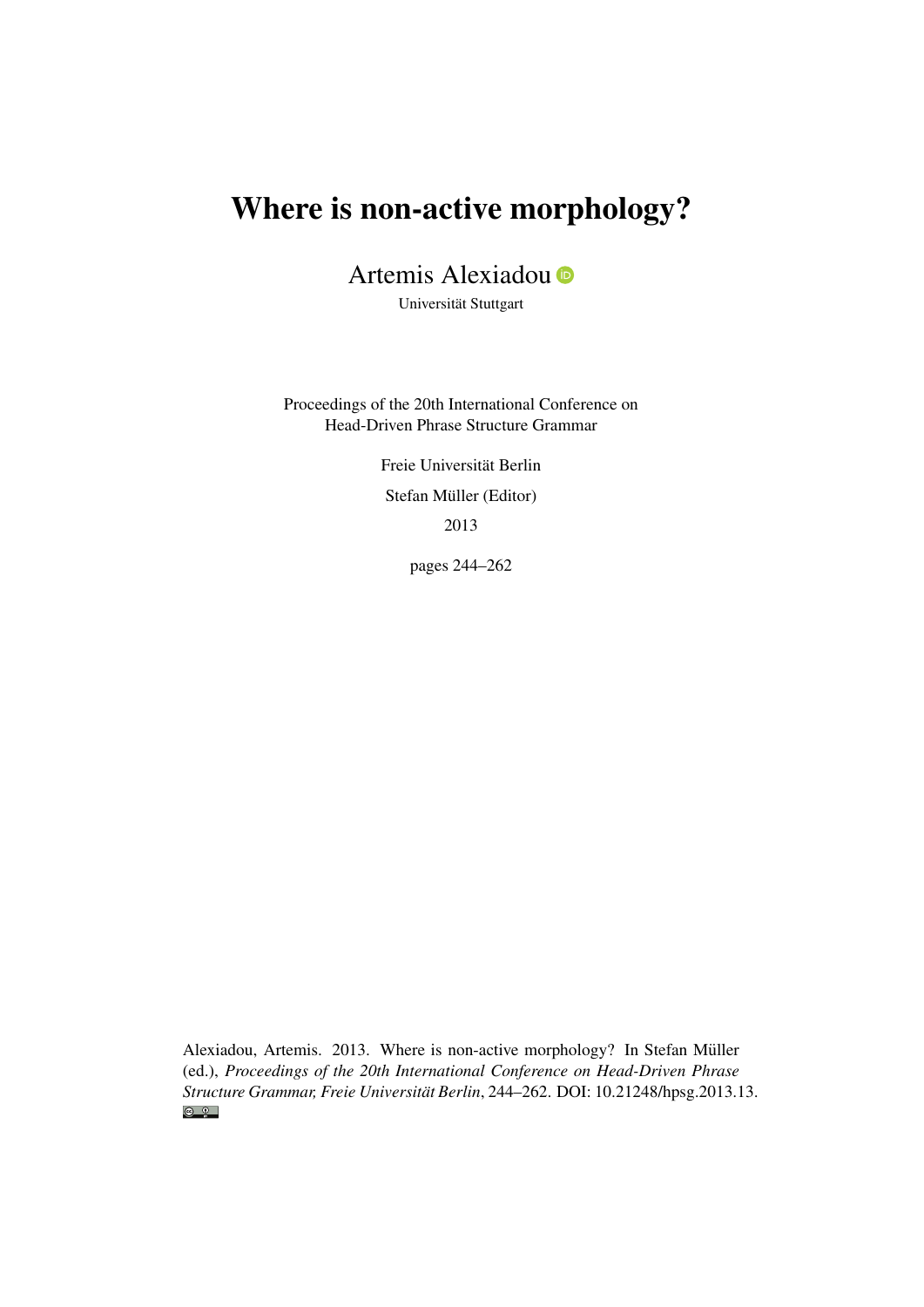# Where is non-active morphology?

Artemis Alexiadou

Universität Stuttgart

Proceedings of the 20th International Conference on Head-Driven Phrase Structure Grammar

> Freie Universität Berlin Stefan Müller (Editor) 2013

> > pages 244–262

Alexiadou, Artemis. 2013. Where is non-active morphology? In Stefan Müller (ed.), *Proceedings of the 20th International Conference on Head-Driven Phrase Structure Grammar, Freie Universität Berlin*, 244–262. DOI: [10.21248/hpsg.2013.13.](http://doi.org/10.21248/hpsg.2013.13) $\odot$   $\odot$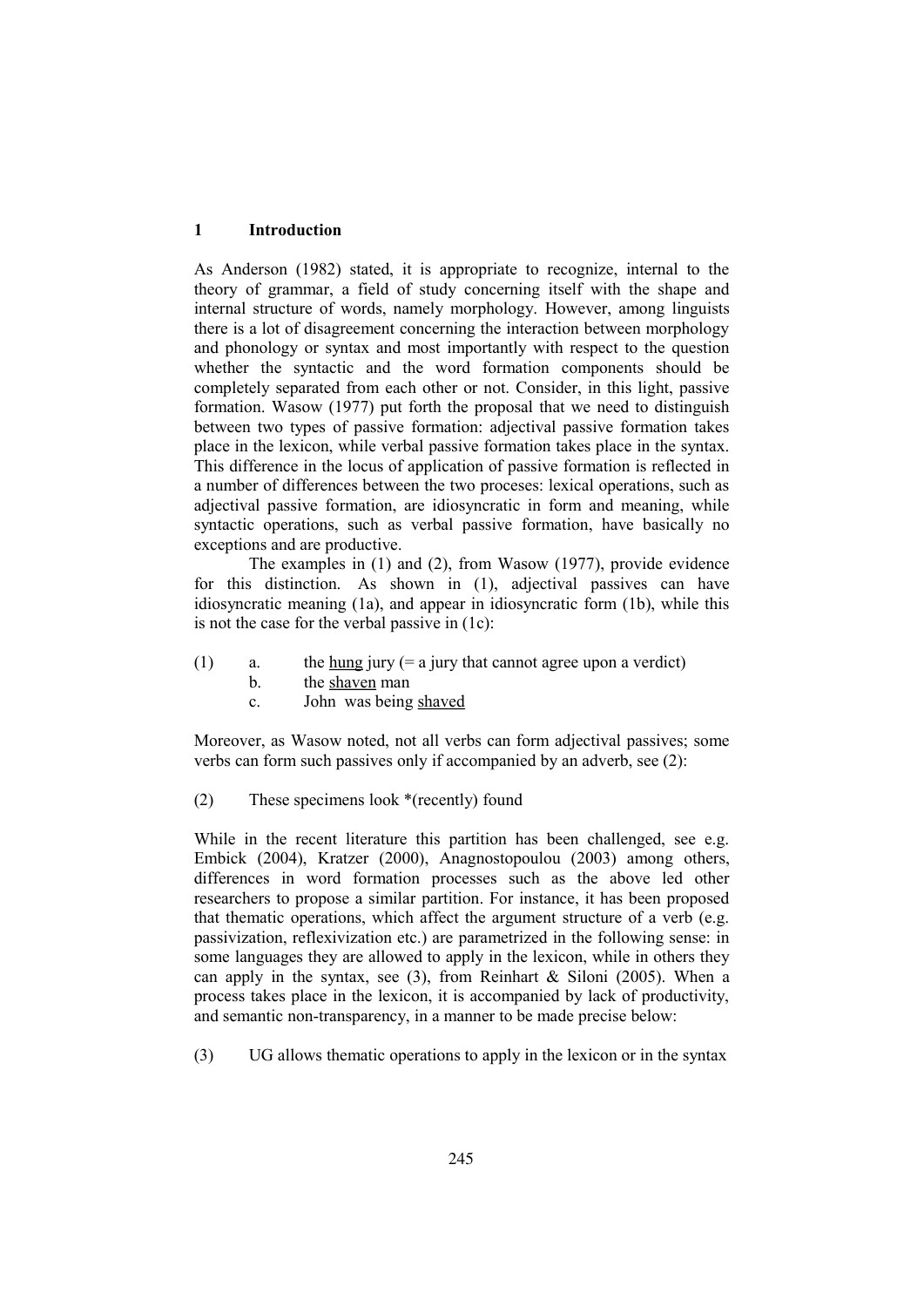## **1 Introduction**

As Anderson (1982) stated, it is appropriate to recognize, internal to the theory of grammar, a field of study concerning itself with the shape and internal structure of words, namely morphology. However, among linguists there is a lot of disagreement concerning the interaction between morphology and phonology or syntax and most importantly with respect to the question whether the syntactic and the word formation components should be completely separated from each other or not. Consider, in this light, passive formation. Wasow (1977) put forth the proposal that we need to distinguish between two types of passive formation: adjectival passive formation takes place in the lexicon, while verbal passive formation takes place in the syntax. This difference in the locus of application of passive formation is reflected in a number of differences between the two proceses: lexical operations, such as adjectival passive formation, are idiosyncratic in form and meaning, while syntactic operations, such as verbal passive formation, have basically no exceptions and are productive.

The examples in (1) and (2), from Wasow (1977), provide evidence for this distinction. As shown in (1), adjectival passives can have idiosyncratic meaning (1a), and appear in idiosyncratic form (1b), while this is not the case for the verbal passive in (1c):

- (1) a. the <u>hung</u> jury (= a jury that cannot agree upon a verdict)
	- b. the shaven man
	- c. John was being shaved

Moreover, as Wasow noted, not all verbs can form adjectival passives; some verbs can form such passives only if accompanied by an adverb, see (2):

(2) These specimens look \*(recently) found

While in the recent literature this partition has been challenged, see e.g. Embick (2004), Kratzer (2000), Anagnostopoulou (2003) among others, differences in word formation processes such as the above led other researchers to propose a similar partition. For instance, it has been proposed that thematic operations, which affect the argument structure of a verb (e.g. passivization, reflexivization etc.) are parametrized in the following sense: in some languages they are allowed to apply in the lexicon, while in others they can apply in the syntax, see  $(3)$ , from Reinhart & Siloni (2005). When a process takes place in the lexicon, it is accompanied by lack of productivity, and semantic non-transparency, in a manner to be made precise below:

(3) UG allows thematic operations to apply in the lexicon or in the syntax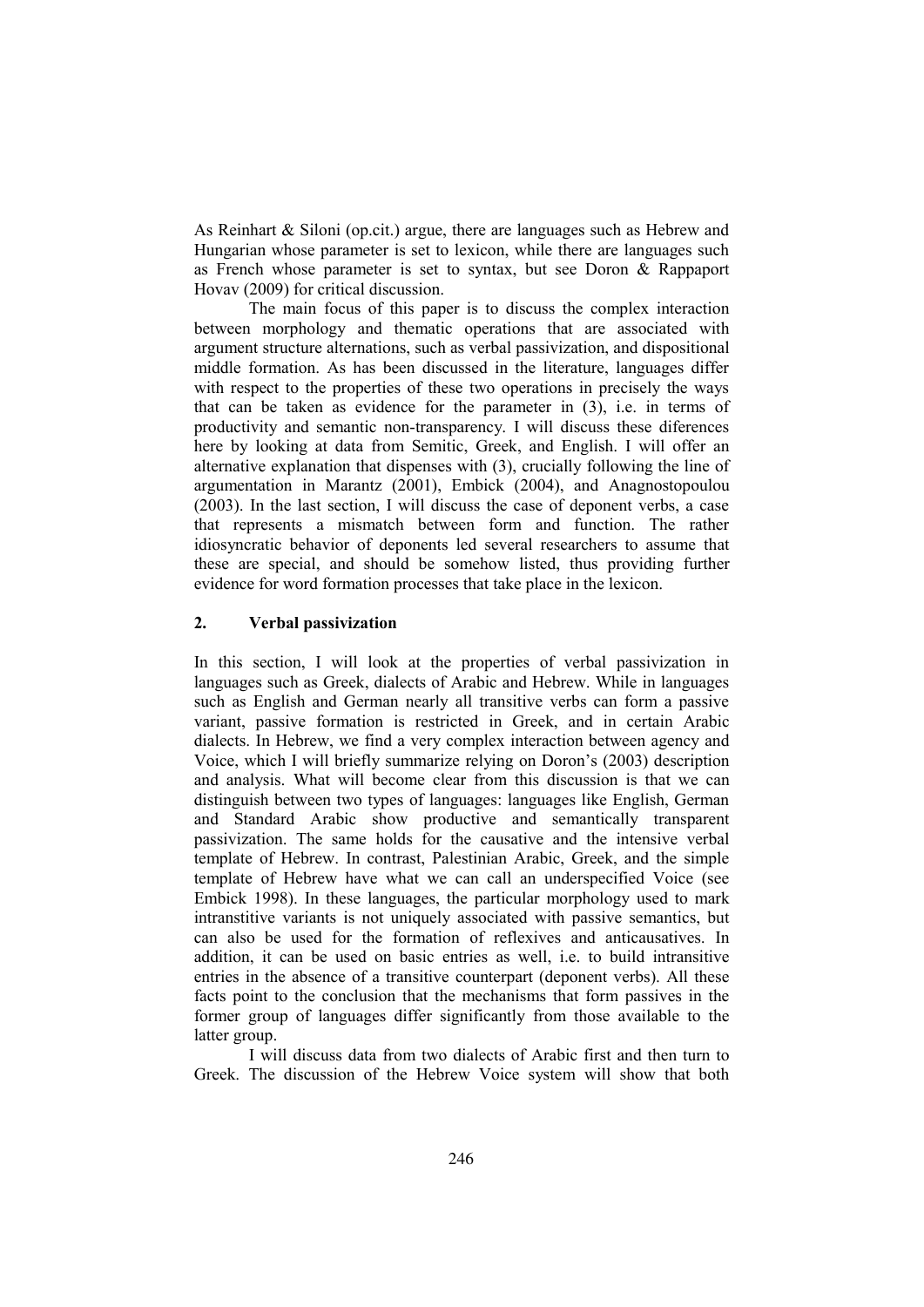As Reinhart & Siloni (op.cit.) argue, there are languages such as Hebrew and Hungarian whose parameter is set to lexicon, while there are languages such as French whose parameter is set to syntax, but see Doron & Rappaport Hovav (2009) for critical discussion.

The main focus of this paper is to discuss the complex interaction between morphology and thematic operations that are associated with argument structure alternations, such as verbal passivization, and dispositional middle formation. As has been discussed in the literature, languages differ with respect to the properties of these two operations in precisely the ways that can be taken as evidence for the parameter in (3), i.e. in terms of productivity and semantic non-transparency. I will discuss these diferences here by looking at data from Semitic, Greek, and English. I will offer an alternative explanation that dispenses with (3), crucially following the line of argumentation in Marantz (2001), Embick (2004), and Anagnostopoulou (2003). In the last section, I will discuss the case of deponent verbs, a case that represents a mismatch between form and function. The rather idiosyncratic behavior of deponents led several researchers to assume that these are special, and should be somehow listed, thus providing further evidence for word formation processes that take place in the lexicon.

#### **2. Verbal passivization**

In this section, I will look at the properties of verbal passivization in languages such as Greek, dialects of Arabic and Hebrew. While in languages such as English and German nearly all transitive verbs can form a passive variant, passive formation is restricted in Greek, and in certain Arabic dialects. In Hebrew, we find a very complex interaction between agency and Voice, which I will briefly summarize relying on Doron's (2003) description and analysis. What will become clear from this discussion is that we can distinguish between two types of languages: languages like English, German and Standard Arabic show productive and semantically transparent passivization. The same holds for the causative and the intensive verbal template of Hebrew. In contrast, Palestinian Arabic, Greek, and the simple template of Hebrew have what we can call an underspecified Voice (see Embick 1998). In these languages, the particular morphology used to mark intranstitive variants is not uniquely associated with passive semantics, but can also be used for the formation of reflexives and anticausatives. In addition, it can be used on basic entries as well, i.e. to build intransitive entries in the absence of a transitive counterpart (deponent verbs). All these facts point to the conclusion that the mechanisms that form passives in the former group of languages differ significantly from those available to the latter group.

I will discuss data from two dialects of Arabic first and then turn to Greek. The discussion of the Hebrew Voice system will show that both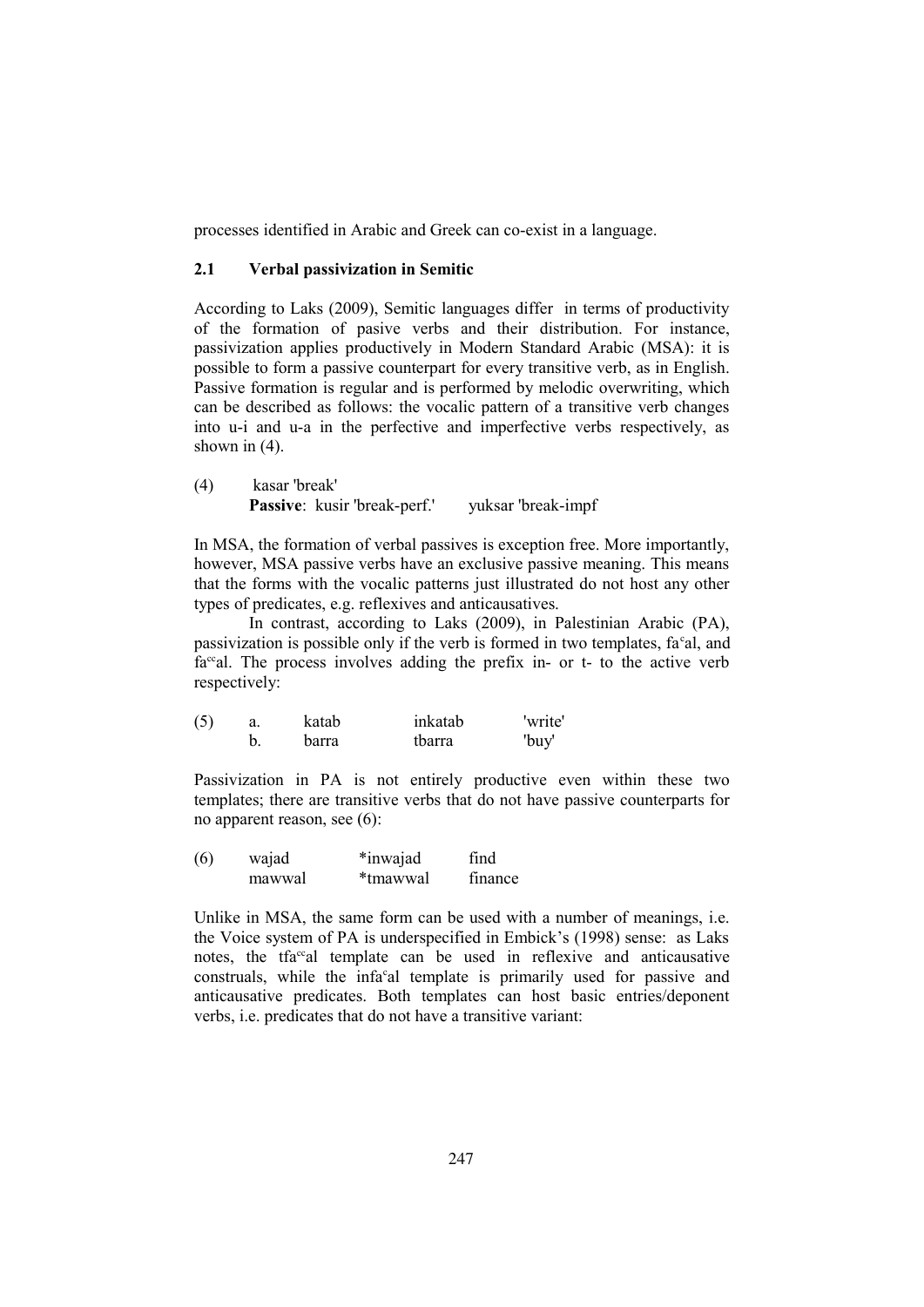processes identified in Arabic and Greek can co-exist in a language.

## **2.1 Verbal passivization in Semitic**

According to Laks (2009), Semitic languages differ in terms of productivity of the formation of pasive verbs and their distribution. For instance, passivization applies productively in Modern Standard Arabic (MSA): it is possible to form a passive counterpart for every transitive verb, as in English. Passive formation is regular and is performed by melodic overwriting, which can be described as follows: the vocalic pattern of a transitive verb changes into u-i and u-a in the perfective and imperfective verbs respectively, as shown in  $(4)$ .

(4) kasar 'break' **Passive**: kusir 'break-perf.' vuksar 'break-impf'

In MSA, the formation of verbal passives is exception free. More importantly, however, MSA passive verbs have an exclusive passive meaning. This means that the forms with the vocalic patterns just illustrated do not host any other types of predicates, e.g. reflexives and anticausatives.

In contrast, according to Laks (2009), in Palestinian Arabic (PA), passivization is possible only if the verb is formed in two templates, fa°al, and  $fa^{cc}$ al. The process involves adding the prefix in- or t- to the active verb respectively:

| (5) | а. | katab | inkatab | 'write' |
|-----|----|-------|---------|---------|
|     |    | barra | tbarra  | 'buy'   |

Passivization in PA is not entirely productive even within these two templates; there are transitive verbs that do not have passive counterparts for no apparent reason, see (6):

| (6) | wajad  | *inwajad | find    |  |
|-----|--------|----------|---------|--|
|     | mawwal | *tmawwal | finance |  |

Unlike in MSA, the same form can be used with a number of meanings, i.e. the Voice system of PA is underspecified in Embick's (1998) sense: as Laks notes, the tfa $\alpha$ <sup>c</sup>al template can be used in reflexive and anticausative construals, while the infa<sup>c</sup>al template is primarily used for passive and anticausative predicates. Both templates can host basic entries/deponent verbs, i.e. predicates that do not have a transitive variant: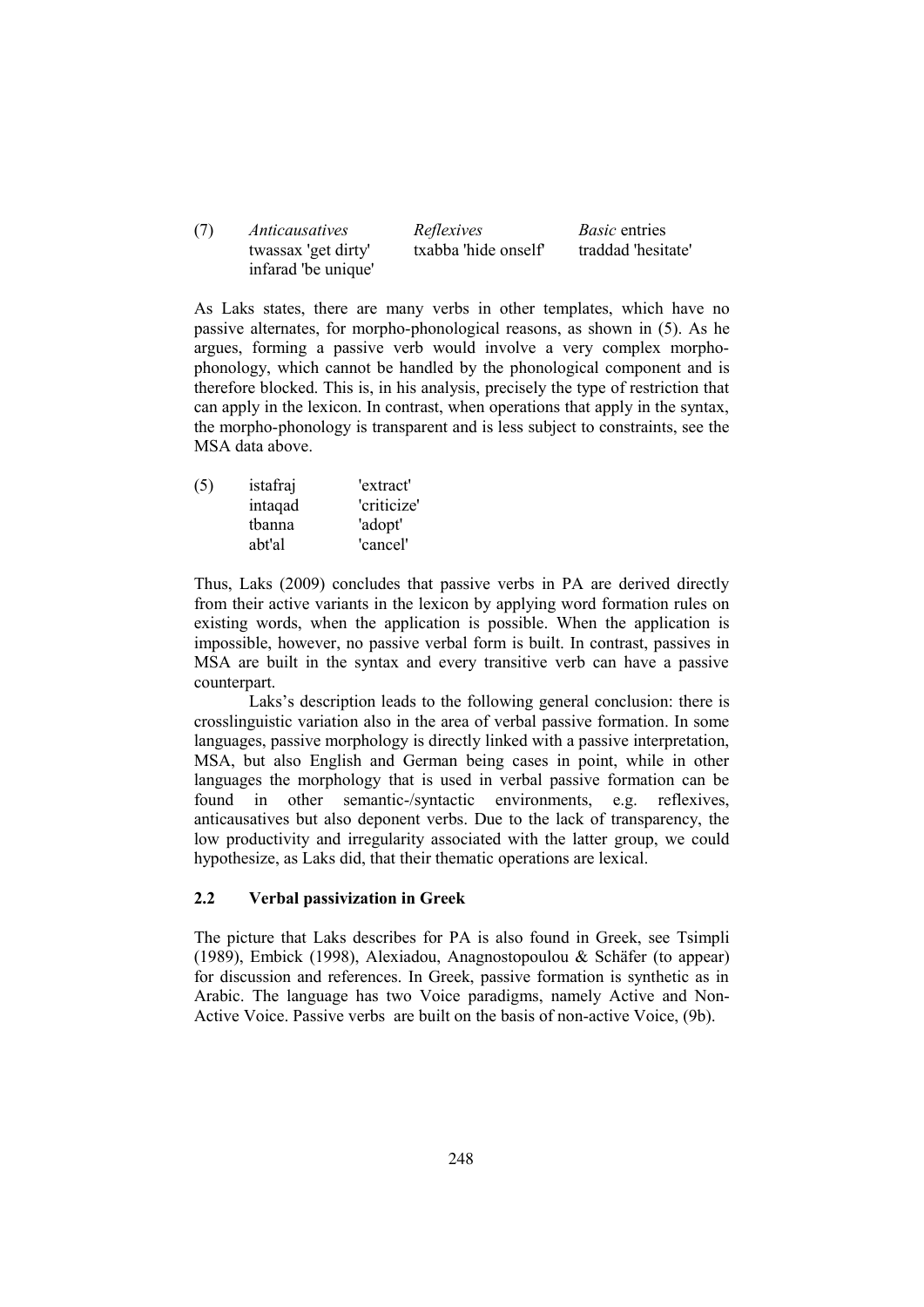| (7) | Anticausatives      | Reflexives           | <i>Basic</i> entries |  |
|-----|---------------------|----------------------|----------------------|--|
|     | twassax 'get dirty' | txabba 'hide onself' | traddad 'hesitate'   |  |
|     | infarad 'be unique' |                      |                      |  |

As Laks states, there are many verbs in other templates, which have no passive alternates, for morpho-phonological reasons, as shown in (5). As he argues, forming a passive verb would involve a very complex morphophonology, which cannot be handled by the phonological component and is therefore blocked. This is, in his analysis, precisely the type of restriction that can apply in the lexicon. In contrast, when operations that apply in the syntax, the morpho-phonology is transparent and is less subject to constraints, see the MSA data above.

| (5) | istafraj | 'extract'   |
|-----|----------|-------------|
|     | intagad  | 'criticize' |
|     | tbanna   | 'adopt'     |
|     | abt'al   | 'cancel'    |

Thus, Laks (2009) concludes that passive verbs in PA are derived directly from their active variants in the lexicon by applying word formation rules on existing words, when the application is possible. When the application is impossible, however, no passive verbal form is built. In contrast, passives in MSA are built in the syntax and every transitive verb can have a passive counterpart.

Laks's description leads to the following general conclusion: there is crosslinguistic variation also in the area of verbal passive formation. In some languages, passive morphology is directly linked with a passive interpretation, MSA, but also English and German being cases in point, while in other languages the morphology that is used in verbal passive formation can be found in other semantic-/syntactic environments, e.g. reflexives, anticausatives but also deponent verbs. Due to the lack of transparency, the low productivity and irregularity associated with the latter group, we could hypothesize, as Laks did, that their thematic operations are lexical.

## **2.2 Verbal passivization in Greek**

The picture that Laks describes for PA is also found in Greek, see Tsimpli (1989), Embick (1998), Alexiadou, Anagnostopoulou & Schäfer (to appear) for discussion and references. In Greek, passive formation is synthetic as in Arabic. The language has two Voice paradigms, namely Active and Non-Active Voice. Passive verbs are built on the basis of non-active Voice, (9b).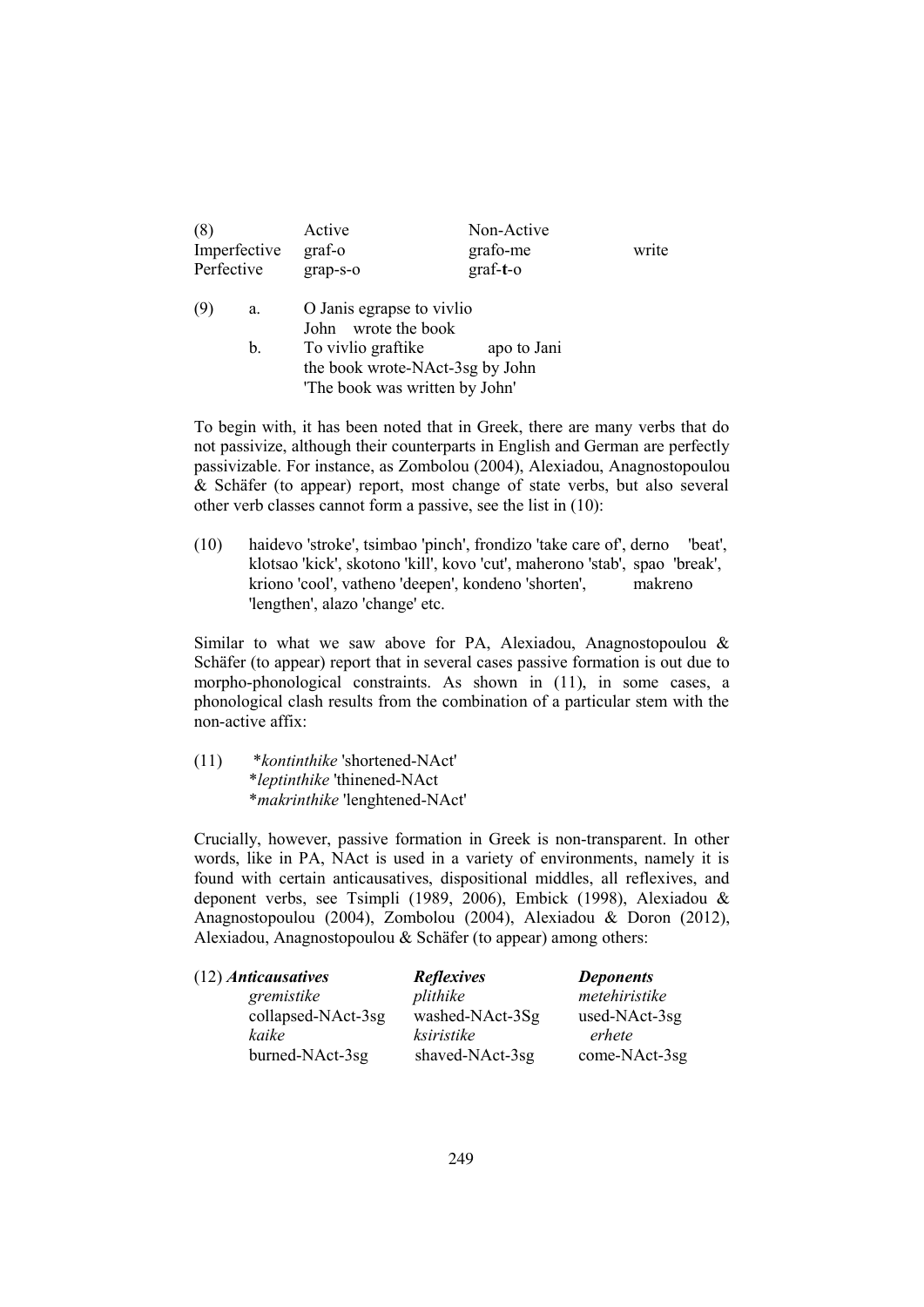| (8)<br>Imperfective<br>Perfective |    | Active<br>graf-o<br>grap-s-o                                                            | Non-Active<br>grafo-me<br>$graf-t-o$ | write |
|-----------------------------------|----|-----------------------------------------------------------------------------------------|--------------------------------------|-------|
| (9)                               | a. | O Janis egrapse to vivlio<br>John wrote the book                                        |                                      |       |
|                                   | b. | To vivlio graftike<br>the book wrote-NAct-3sg by John<br>'The book was written by John' |                                      |       |

To begin with, it has been noted that in Greek, there are many verbs that do not passivize, although their counterparts in English and German are perfectly passivizable. For instance, as Zombolou (2004), Alexiadou, Anagnostopoulou & Schäfer (to appear) report, most change of state verbs, but also several other verb classes cannot form a passive, see the list in (10):

(10) haidevo 'stroke', tsimbao 'pinch', frondizo 'take care of', derno 'beat', klotsao 'kick', skotono 'kill', kovo 'cut', maherono 'stab', spao 'break', kriono 'cool', vatheno 'deepen', kondeno 'shorten', makreno 'lengthen', alazo 'change' etc.

Similar to what we saw above for PA, Alexiadou, Anagnostopoulou & Schäfer (to appear) report that in several cases passive formation is out due to morpho-phonological constraints. As shown in (11), in some cases, a phonological clash results from the combination of a particular stem with the non-active affix:

(11) \**kontinthike* 'shortened-NAct' \**leptinthike* 'thinened-NAct \**makrinthike* 'lenghtened-NAct'

Crucially, however, passive formation in Greek is non-transparent. In other words, like in PA, NAct is used in a variety of environments, namely it is found with certain anticausatives, dispositional middles, all reflexives, and deponent verbs, see Tsimpli (1989, 2006), Embick (1998), Alexiadou & Anagnostopoulou (2004), Zombolou (2004), Alexiadou & Doron (2012), Alexiadou, Anagnostopoulou & Schäfer (to appear) among others:

| (12) Anticausatives | <b>Reflexives</b> | <b>Deponents</b> |  |
|---------------------|-------------------|------------------|--|
| gremistike          | plithike          | metehiristike    |  |
| collapsed-NAct-3sg  | washed-NAct-3Sg   | used-NAct-3sg    |  |
| kaike               | ksiristike        | erhete           |  |
| burned-NAct-3sg     | shaved-NAct-3sg   | come-NAct-3sg    |  |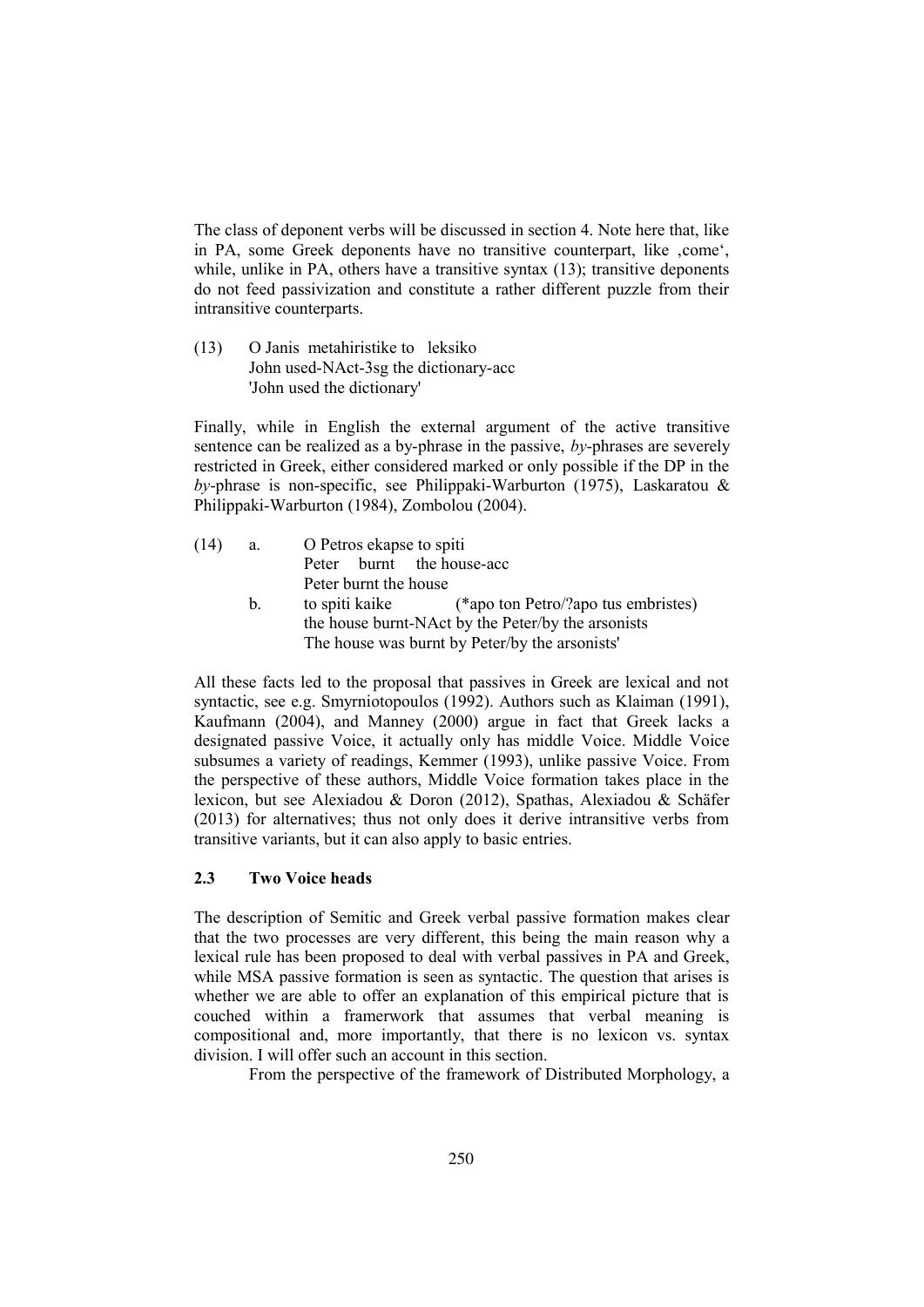The class of deponent verbs will be discussed in section 4. Note here that, like in PA, some Greek deponents have no transitive counterpart, like , come', while, unlike in PA, others have a transitive syntax (13); transitive deponents do not feed passivization and constitute a rather different puzzle from their intransitive counterparts.

(13) O Janis metahiristike to leksiko John used-NAct-3sg the dictionary-acc 'John used the dictionary'

Finally, while in English the external argument of the active transitive sentence can be realized as a by-phrase in the passive, *by*-phrases are severely restricted in Greek, either considered marked or only possible if the DP in the *by*-phrase is non-specific, see Philippaki-Warburton (1975), Laskaratou & Philippaki-Warburton (1984), Zombolou (2004).

- (14) a. O Petros ekapse to spiti Peter burnt the house-acc Peter burnt the house
	- b. to spiti kaike (\*apo ton Petro/?apo tus embristes) the house burnt-NAct by the Peter/by the arsonists The house was burnt by Peter/by the arsonists'

All these facts led to the proposal that passives in Greek are lexical and not syntactic, see e.g. Smyrniotopoulos (1992). Authors such as Klaiman (1991), Kaufmann (2004), and Manney (2000) argue in fact that Greek lacks a designated passive Voice, it actually only has middle Voice. Middle Voice subsumes a variety of readings, Kemmer (1993), unlike passive Voice. From the perspective of these authors, Middle Voice formation takes place in the lexicon, but see Alexiadou & Doron (2012), Spathas, Alexiadou & Schäfer (2013) for alternatives; thus not only does it derive intransitive verbs from transitive variants, but it can also apply to basic entries.

## **2.3 Two Voice heads**

The description of Semitic and Greek verbal passive formation makes clear that the two processes are very different, this being the main reason why a lexical rule has been proposed to deal with verbal passives in PA and Greek, while MSA passive formation is seen as syntactic. The question that arises is whether we are able to offer an explanation of this empirical picture that is couched within a framerwork that assumes that verbal meaning is compositional and, more importantly, that there is no lexicon vs. syntax division. I will offer such an account in this section.

From the perspective of the framework of Distributed Morphology, a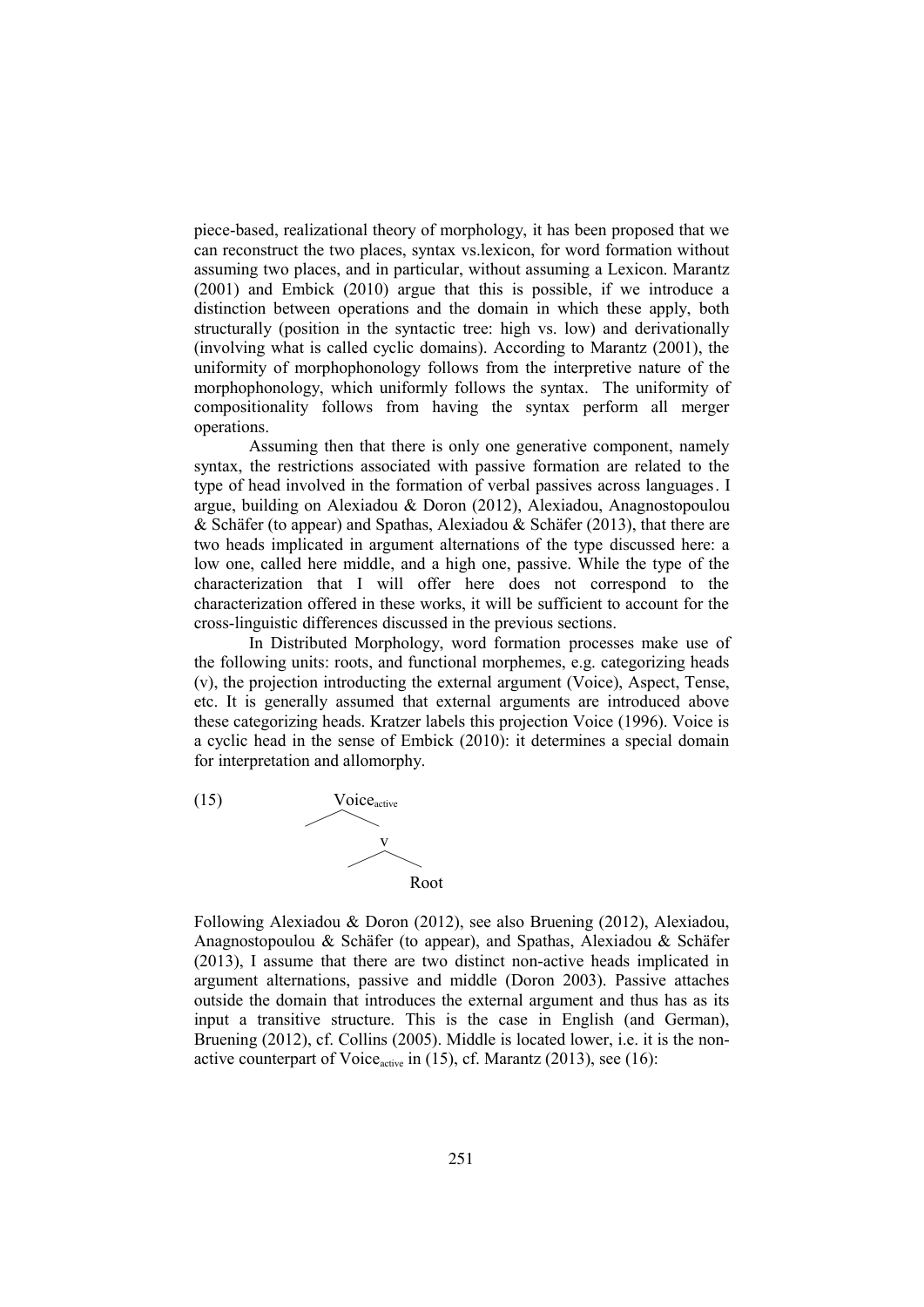piece-based, realizational theory of morphology, it has been proposed that we can reconstruct the two places, syntax vs.lexicon, for word formation without assuming two places, and in particular, without assuming a Lexicon. Marantz (2001) and Embick (2010) argue that this is possible, if we introduce a distinction between operations and the domain in which these apply, both structurally (position in the syntactic tree: high vs. low) and derivationally (involving what is called cyclic domains). According to Marantz (2001), the uniformity of morphophonology follows from the interpretive nature of the morphophonology, which uniformly follows the syntax. The uniformity of compositionality follows from having the syntax perform all merger operations.

Assuming then that there is only one generative component, namely syntax, the restrictions associated with passive formation are related to the type of head involved in the formation of verbal passives across languages. I argue, building on Alexiadou & Doron (2012), Alexiadou, Anagnostopoulou & Schäfer (to appear) and Spathas, Alexiadou & Schäfer (2013), that there are two heads implicated in argument alternations of the type discussed here: a low one, called here middle, and a high one, passive. While the type of the characterization that I will offer here does not correspond to the characterization offered in these works, it will be sufficient to account for the cross-linguistic differences discussed in the previous sections.

In Distributed Morphology, word formation processes make use of the following units: roots, and functional morphemes, e.g. categorizing heads (v), the projection introducting the external argument (Voice), Aspect, Tense, etc. It is generally assumed that external arguments are introduced above these categorizing heads. Kratzer labels this projection Voice (1996). Voice is a cyclic head in the sense of Embick (2010): it determines a special domain for interpretation and allomorphy.



Following Alexiadou & Doron (2012), see also Bruening (2012), Alexiadou, Anagnostopoulou & Schäfer (to appear), and Spathas, Alexiadou & Schäfer (2013), I assume that there are two distinct non-active heads implicated in argument alternations, passive and middle (Doron 2003). Passive attaches outside the domain that introduces the external argument and thus has as its input a transitive structure. This is the case in English (and German), Bruening (2012), cf. Collins (2005). Middle is located lower, i.e. it is the nonactive counterpart of Voice $_{\text{active}}$  in (15), cf. Marantz (2013), see (16):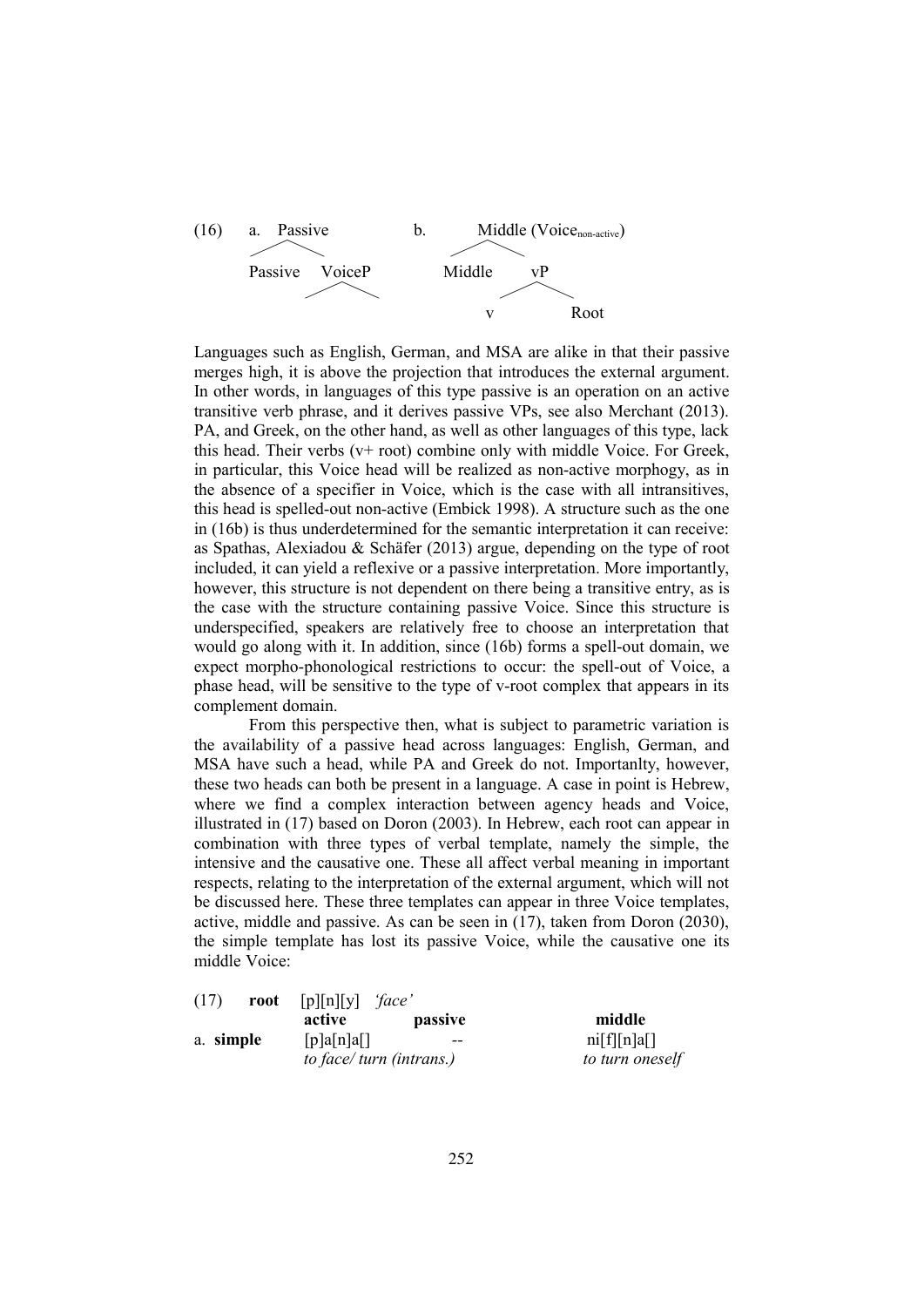

Languages such as English, German, and MSA are alike in that their passive merges high, it is above the projection that introduces the external argument. In other words, in languages of this type passive is an operation on an active transitive verb phrase, and it derives passive VPs, see also Merchant (2013). PA, and Greek, on the other hand, as well as other languages of this type, lack this head. Their verbs (v+ root) combine only with middle Voice. For Greek, in particular, this Voice head will be realized as non-active morphogy, as in the absence of a specifier in Voice, which is the case with all intransitives, this head is spelled-out non-active (Embick 1998). A structure such as the one in (16b) is thus underdetermined for the semantic interpretation it can receive: as Spathas, Alexiadou & Schäfer (2013) argue, depending on the type of root included, it can yield a reflexive or a passive interpretation. More importantly, however, this structure is not dependent on there being a transitive entry, as is the case with the structure containing passive Voice. Since this structure is underspecified, speakers are relatively free to choose an interpretation that would go along with it. In addition, since (16b) forms a spell-out domain, we expect morpho-phonological restrictions to occur: the spell-out of Voice, a phase head, will be sensitive to the type of v-root complex that appears in its complement domain.

From this perspective then, what is subject to parametric variation is the availability of a passive head across languages: English, German, and MSA have such a head, while PA and Greek do not. Importanlty, however, these two heads can both be present in a language. A case in point is Hebrew, where we find a complex interaction between agency heads and Voice, illustrated in (17) based on Doron (2003). In Hebrew, each root can appear in combination with three types of verbal template, namely the simple, the intensive and the causative one. These all affect verbal meaning in important respects, relating to the interpretation of the external argument, which will not be discussed here. These three templates can appear in three Voice templates, active, middle and passive. As can be seen in (17), taken from Doron (2030), the simple template has lost its passive Voice, while the causative one its middle Voice:

| (17)      | [p][n][y]<br>face'<br>root<br>active<br><i>passive</i> | middle            |
|-----------|--------------------------------------------------------|-------------------|
| a. simple | [p]a[n]a[]                                             | ni[f][n]a[]<br>-- |
|           | to face/ turn (intrans.)                               | to turn oneself   |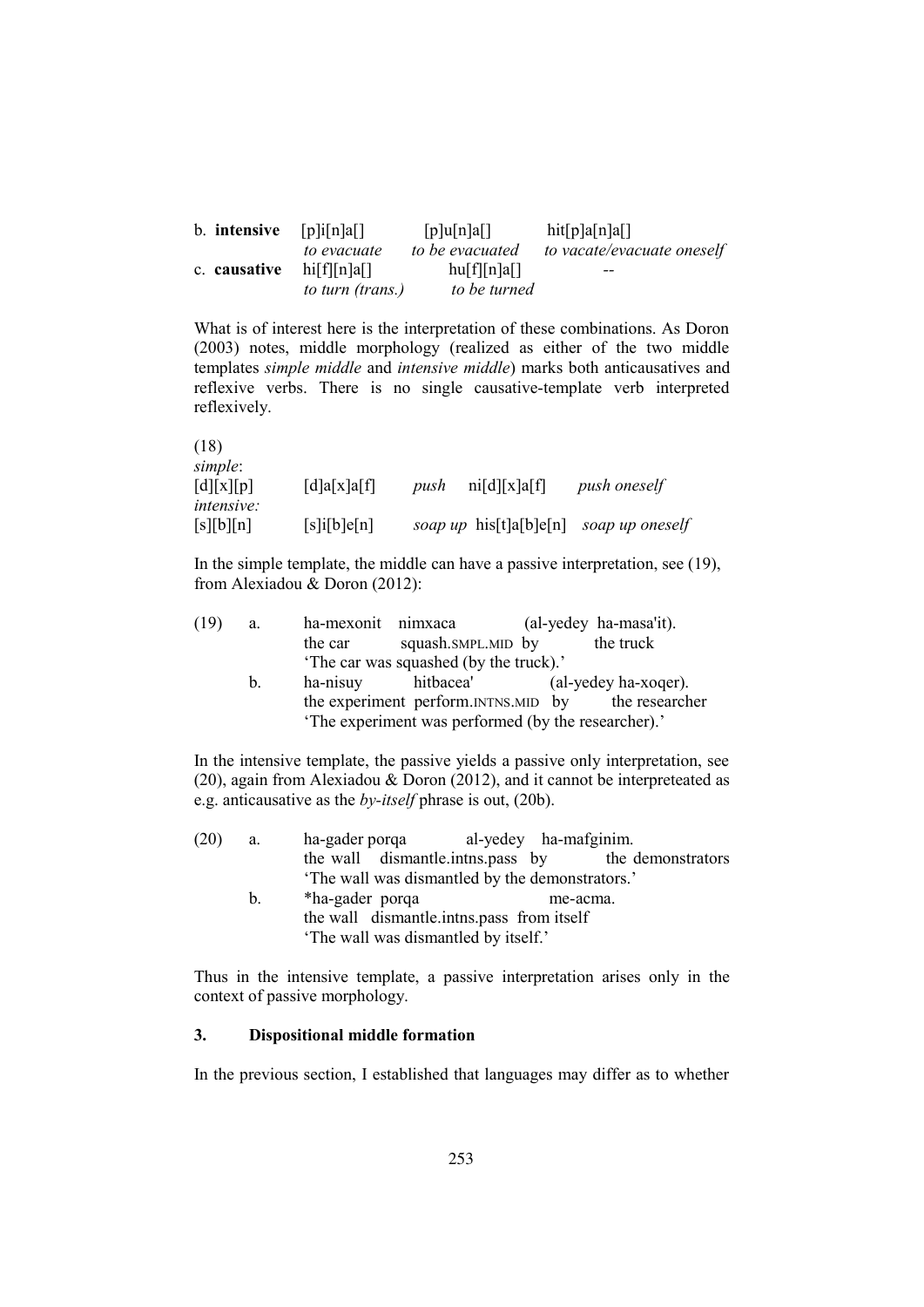| b. <b>intensive</b> $[p]$ i $[n]$ a $[n]$ |                                 | [p]u[n]a[]      | hit[p]a[n]a[]              |
|-------------------------------------------|---------------------------------|-----------------|----------------------------|
|                                           | to evacuate                     | to be evacuated | to vacate/evacuate oneself |
|                                           | c. causative $\text{hi}[f][n]a$ | hu[f][n]a[]     | $- -$                      |
|                                           | to turn (trans.)                | to be turned    |                            |

What is of interest here is the interpretation of these combinations. As Doron (2003) notes, middle morphology (realized as either of the two middle templates *simple middle* and *intensive middle*) marks both anticausatives and reflexive verbs. There is no single causative-template verb interpreted reflexively.

| (18)                                  |                                                       |      |                           |                     |
|---------------------------------------|-------------------------------------------------------|------|---------------------------|---------------------|
| simple:<br>$\left[\frac{d}{x}\right]$ | $\lceil d \rceil a \lceil x \rceil a \lceil f \rceil$ | push | ni[d][x]a[f]              | <i>push oneself</i> |
| <i>intensive:</i><br>[s][b][n]        | $[s]$ i $[b]$ e $[n]$                                 |      | soap up his $[t]a[b]e[n]$ | soap up oneself     |

In the simple template, the middle can have a passive interpretation, see (19), from Alexiadou & Doron (2012):

| (19) | a.          | ha-mexonit nimxaca |                                                     | (al-yedey ha-masa'it). |
|------|-------------|--------------------|-----------------------------------------------------|------------------------|
|      |             | the car            | squash.SMPL.MID by                                  | the truck              |
|      |             |                    | 'The car was squashed (by the truck).'              |                        |
|      | $b_{\cdot}$ | ha-nisuy           | hitbacea'                                           | (al-yedey ha-xoger).   |
|      |             |                    | the experiment perform.INTNS.MID by                 | the researcher         |
|      |             |                    | 'The experiment was performed (by the researcher).' |                        |
|      |             |                    |                                                     |                        |

In the intensive template, the passive yields a passive only interpretation, see (20), again from Alexiadou & Doron (2012), and it cannot be interpreteated as e.g. anticausative as the *by-itself* phrase is out, (20b).

| (20) | a. | ha-gader porqa |                                               | al-yedey ha-mafginim. |                   |
|------|----|----------------|-----------------------------------------------|-----------------------|-------------------|
|      |    |                | the wall dismantle inthesipass by             |                       | the demonstrators |
|      |    |                | The wall was dismantled by the demonstrators. |                       |                   |

b. \*ha-gader porqa me-acma. the wall dismantle.intns.pass from itself 'The wall was dismantled by itself.'

Thus in the intensive template, a passive interpretation arises only in the context of passive morphology.

## **3. Dispositional middle formation**

In the previous section, I established that languages may differ as to whether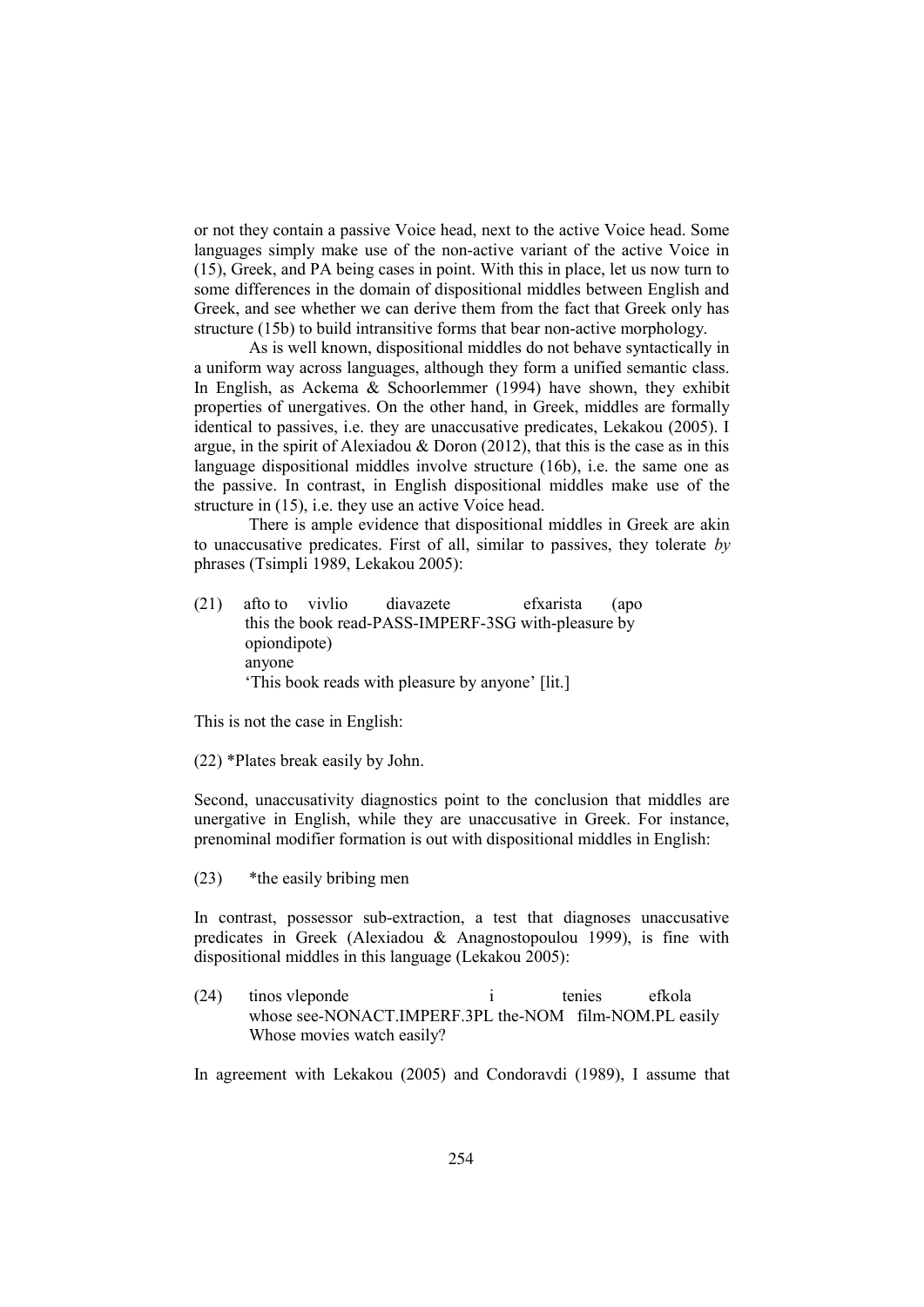or not they contain a passive Voice head, next to the active Voice head. Some languages simply make use of the non-active variant of the active Voice in (15), Greek, and PA being cases in point. With this in place, let us now turn to some differences in the domain of dispositional middles between English and Greek, and see whether we can derive them from the fact that Greek only has structure (15b) to build intransitive forms that bear non-active morphology.

As is well known, dispositional middles do not behave syntactically in a uniform way across languages, although they form a unified semantic class. In English, as Ackema & Schoorlemmer (1994) have shown, they exhibit properties of unergatives. On the other hand, in Greek, middles are formally identical to passives, i.e. they are unaccusative predicates, Lekakou (2005). I argue, in the spirit of Alexiadou  $\&$  Doron (2012), that this is the case as in this language dispositional middles involve structure (16b), i.e. the same one as the passive. In contrast, in English dispositional middles make use of the structure in (15), i.e. they use an active Voice head.

There is ample evidence that dispositional middles in Greek are akin to unaccusative predicates. First of all, similar to passives, they tolerate *by* phrases (Tsimpli 1989, Lekakou 2005):

(21) afto to vivlio diavazete efxarista (apo this the book read-PASS-IMPERF-3SG with-pleasure by opiondipote) anyone 'This book reads with pleasure by anyone' [lit.]

This is not the case in English:

(22) \*Plates break easily by John.

Second, unaccusativity diagnostics point to the conclusion that middles are unergative in English, while they are unaccusative in Greek. For instance, prenominal modifier formation is out with dispositional middles in English:

(23) \*the easily bribing men

In contrast, possessor sub-extraction, a test that diagnoses unaccusative predicates in Greek (Alexiadou & Anagnostopoulou 1999), is fine with dispositional middles in this language (Lekakou 2005):

(24) tinos vleponde i tenies efkola whose see-NONACT.IMPERF.3PL the-NOM film-NOM.PL easily Whose movies watch easily?

In agreement with Lekakou (2005) and Condoravdi (1989), I assume that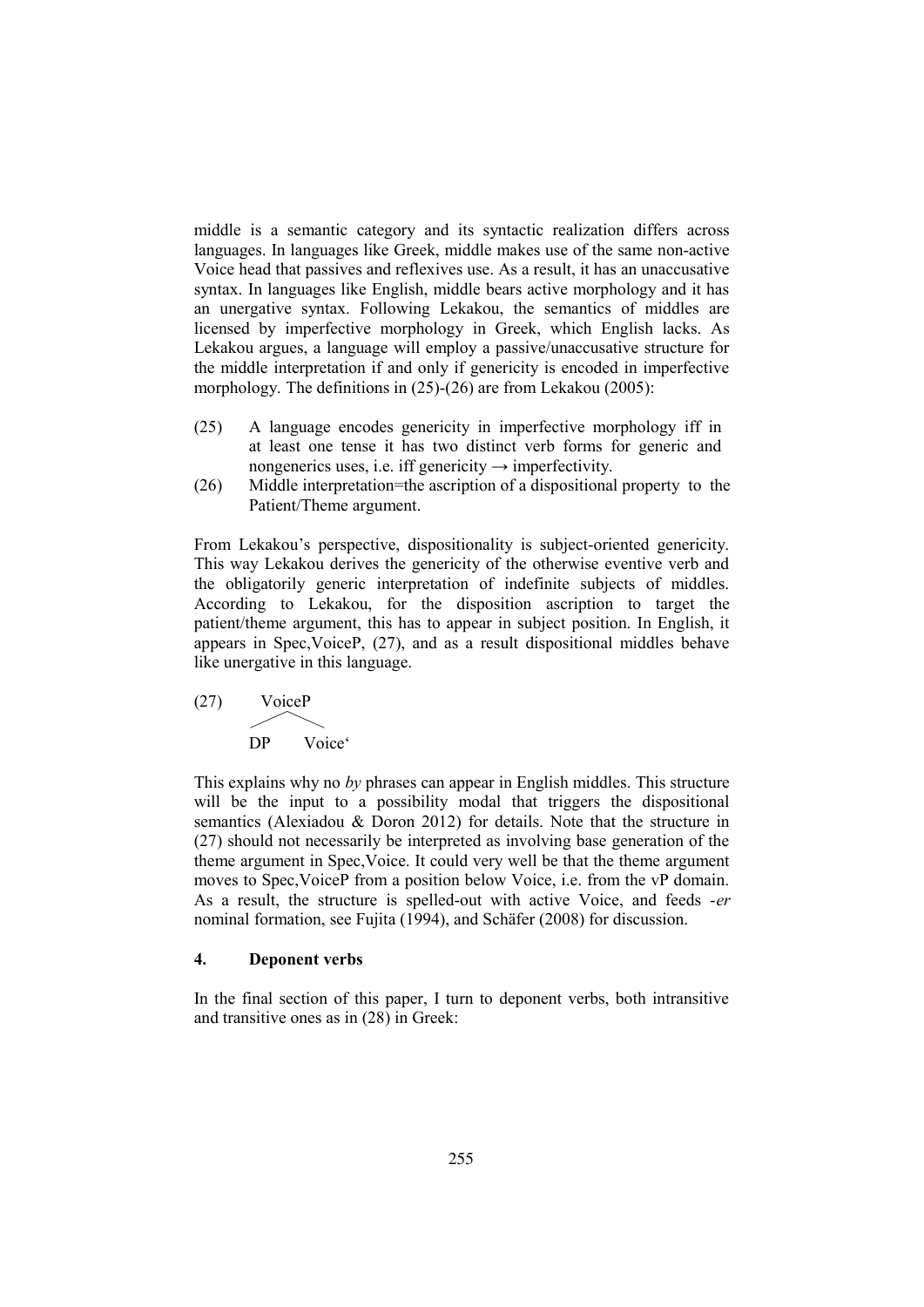middle is a semantic category and its syntactic realization differs across languages. In languages like Greek, middle makes use of the same non-active Voice head that passives and reflexives use. As a result, it has an unaccusative syntax. In languages like English, middle bears active morphology and it has an unergative syntax. Following Lekakou, the semantics of middles are licensed by imperfective morphology in Greek, which English lacks. As Lekakou argues, a language will employ a passive/unaccusative structure for the middle interpretation if and only if genericity is encoded in imperfective morphology. The definitions in (25)-(26) are from Lekakou (2005):

- (25) A language encodes genericity in imperfective morphology iff in at least one tense it has two distinct verb forms for generic and nongenerics uses, i.e. iff genericity  $\rightarrow$  imperfectivity.
- (26) Middle interpretation=the ascription of a dispositional property to the Patient/Theme argument.

From Lekakou's perspective, dispositionality is subject-oriented genericity. This way Lekakou derives the genericity of the otherwise eventive verb and the obligatorily generic interpretation of indefinite subjects of middles. According to Lekakou, for the disposition ascription to target the patient/theme argument, this has to appear in subject position. In English, it appears in Spec,VoiceP, (27), and as a result dispositional middles behave like unergative in this language.

(27) VoiceP  $\diagup\diagdown$ DP Voice'

This explains why no *by* phrases can appear in English middles. This structure will be the input to a possibility modal that triggers the dispositional semantics (Alexiadou & Doron 2012) for details. Note that the structure in (27) should not necessarily be interpreted as involving base generation of the theme argument in Spec,Voice. It could very well be that the theme argument moves to Spec,VoiceP from a position below Voice, i.e. from the vP domain. As a result, the structure is spelled-out with active Voice, and feeds -*er* nominal formation, see Fujita (1994), and Schäfer (2008) for discussion.

## **4. Deponent verbs**

In the final section of this paper, I turn to deponent verbs, both intransitive and transitive ones as in (28) in Greek: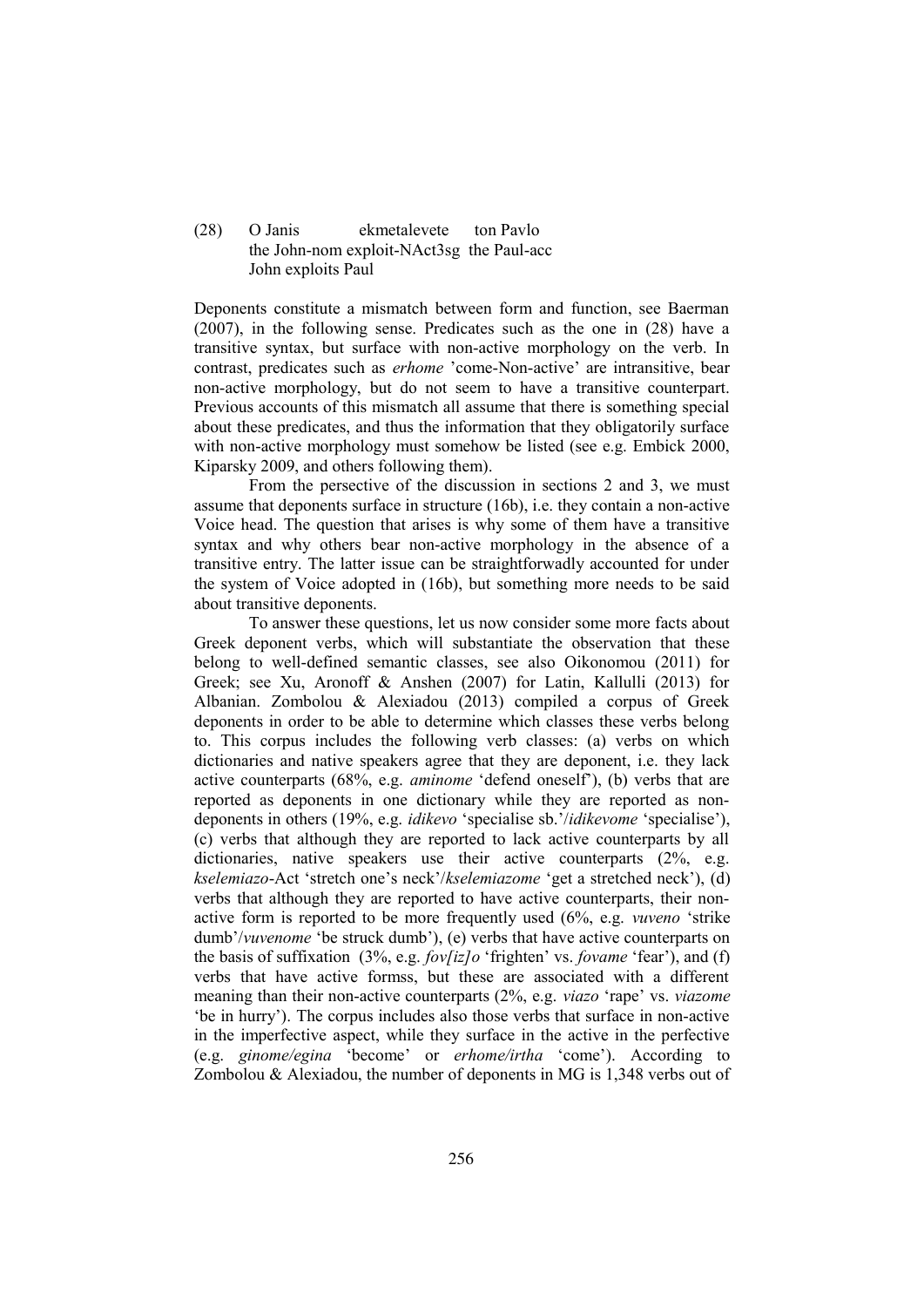## (28) O Janis ekmetalevete ton Pavlo the John-nom exploit-NAct3sg the Paul-acc John exploits Paul

Deponents constitute a mismatch between form and function, see Baerman (2007), in the following sense. Predicates such as the one in (28) have a transitive syntax, but surface with non-active morphology on the verb. In contrast, predicates such as *erhome* 'come-Non-active' are intransitive, bear non-active morphology, but do not seem to have a transitive counterpart. Previous accounts of this mismatch all assume that there is something special about these predicates, and thus the information that they obligatorily surface with non-active morphology must somehow be listed (see e.g. Embick 2000, Kiparsky 2009, and others following them).

From the persective of the discussion in sections 2 and 3, we must assume that deponents surface in structure (16b), i.e. they contain a non-active Voice head. The question that arises is why some of them have a transitive syntax and why others bear non-active morphology in the absence of a transitive entry. The latter issue can be straightforwadly accounted for under the system of Voice adopted in (16b), but something more needs to be said about transitive deponents.

To answer these questions, let us now consider some more facts about Greek deponent verbs, which will substantiate the observation that these belong to well-defined semantic classes, see also Oikonomou (2011) for Greek; see Xu, Aronoff & Anshen (2007) for Latin, Kallulli (2013) for Albanian. Zombolou & Alexiadou (2013) compiled a corpus of Greek deponents in order to be able to determine which classes these verbs belong to. This corpus includes the following verb classes: (a) verbs on which dictionaries and native speakers agree that they are deponent, i.e. they lack active counterparts (68%, e.g. *aminome* 'defend oneself'), (b) verbs that are reported as deponents in one dictionary while they are reported as nondeponents in others (19%, e.g. *idikevo* 'specialise sb.'/*idikevome* 'specialise'), (c) verbs that although they are reported to lack active counterparts by all dictionaries, native speakers use their active counterparts (2%, e.g. *kselemiazo*-Act 'stretch one's neck'/*kselemiazome* 'get a stretched neck'), (d) verbs that although they are reported to have active counterparts, their nonactive form is reported to be more frequently used (6%, e.g. *vuveno* 'strike dumb'/*vuvenome* 'be struck dumb'), (e) verbs that have active counterparts on the basis of suffixation (3%, e.g. *fov[iz]o* 'frighten' vs. *fovame* 'fear'), and (f) verbs that have active formss, but these are associated with a different meaning than their non-active counterparts (2%, e.g. *viazo* 'rape' vs. *viazome* 'be in hurry'). The corpus includes also those verbs that surface in non-active in the imperfective aspect, while they surface in the active in the perfective (e.g. *ginome/egina* 'become' or *erhome/irtha* 'come'). According to Zombolou & Alexiadou, the number of deponents in MG is 1,348 verbs out of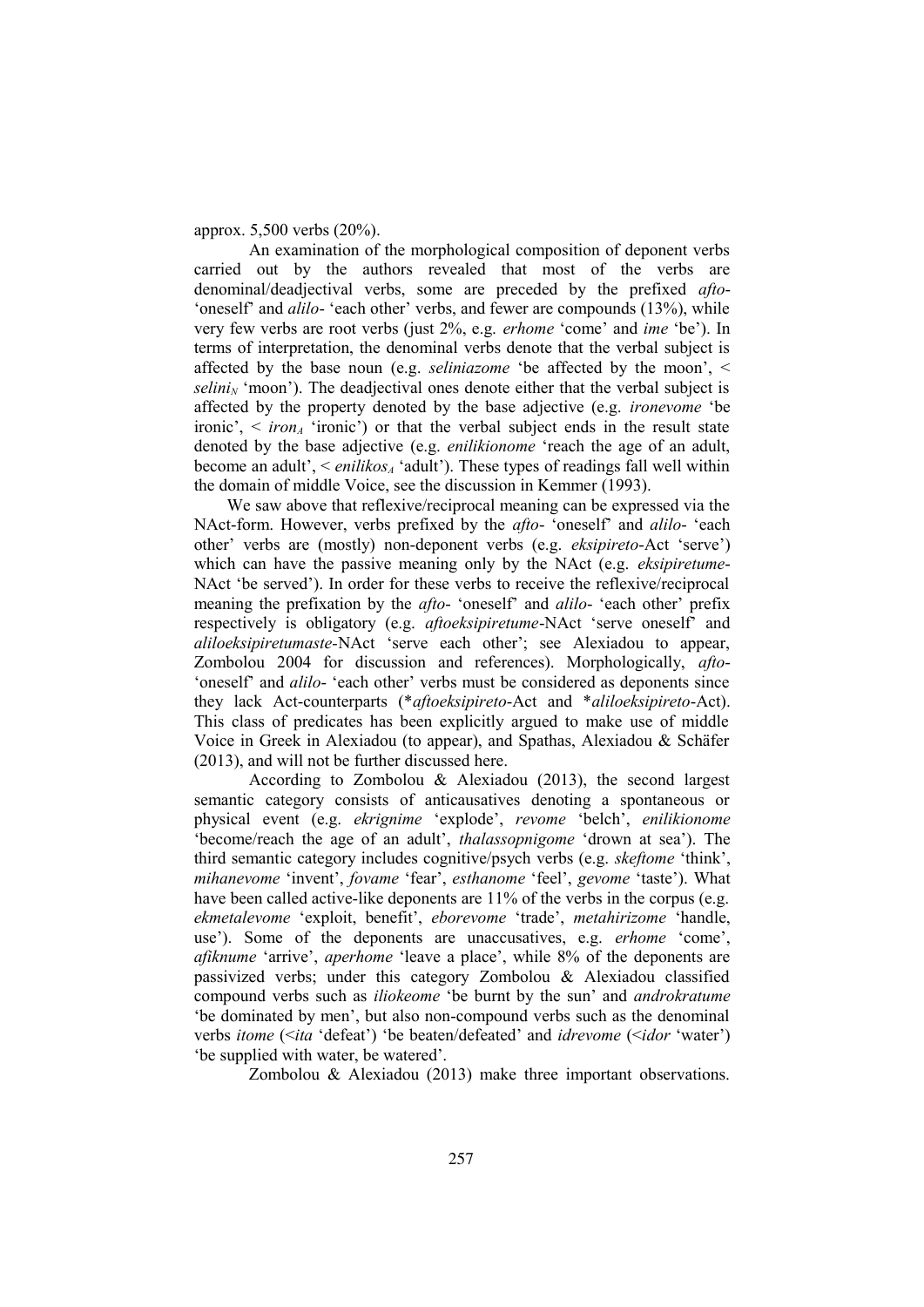#### approx. 5,500 verbs (20%).

An examination of the morphological composition of deponent verbs carried out by the authors revealed that most of the verbs are denominal/deadjectival verbs, some are preceded by the prefixed *afto*- 'oneself' and *alilo*- 'each other' verbs, and fewer are compounds (13%), while very few verbs are root verbs (just 2%, e.g. *erhome* 'come' and *ime* 'be'). In terms of interpretation, the denominal verbs denote that the verbal subject is affected by the base noun (e.g. *seliniazome* 'be affected by the moon', <  $\delta$ *selini<sub>N</sub>* 'moon'). The deadjectival ones denote either that the verbal subject is affected by the property denoted by the base adjective (e.g. *ironevome* 'be ironic',  $\leq i$  *iron<sub>A</sub>* 'ironic') or that the verbal subject ends in the result state denoted by the base adjective (e.g. *enilikionome* 'reach the age of an adult, become an adult',  $\le$  *enilikos<sub>A</sub>* 'adult'). These types of readings fall well within the domain of middle Voice, see the discussion in Kemmer (1993).

We saw above that reflexive/reciprocal meaning can be expressed via the NAct-form. However, verbs prefixed by the *afto*- 'oneself' and *alilo*- 'each other' verbs are (mostly) non-deponent verbs (e.g. *eksipireto*-Act 'serve') which can have the passive meaning only by the NAct (e.g. *eksipiretume*-NAct 'be served'). In order for these verbs to receive the reflexive/reciprocal meaning the prefixation by the *afto*- 'oneself' and *alilo*- 'each other' prefix respectively is obligatory (e.g. *aftoeksipiretume*-NAct 'serve oneself' and *aliloeksipiretumaste-*NAct 'serve each other'; see Alexiadou to appear, Zombolou 2004 for discussion and references). Morphologically, *afto*- 'oneself' and *alilo*- 'each other' verbs must be considered as deponents since they lack Act-counterparts (\**aftoeksipireto*-Act and \**aliloeksipireto*-Act). This class of predicates has been explicitly argued to make use of middle Voice in Greek in Alexiadou (to appear), and Spathas, Alexiadou & Schäfer (2013), and will not be further discussed here.

According to Zombolou & Alexiadou (2013), the second largest semantic category consists of anticausatives denoting a spontaneous or physical event (e.g. *ekrignime* 'explode', *revome* 'belch', *enilikionome* 'become/reach the age of an adult', *thalassopnigome* 'drown at sea'). The third semantic category includes cognitive/psych verbs (e.g. *skeftome* 'think', *mihanevome* 'invent', *fovame* 'fear', *esthanome* 'feel', *gevome* 'taste'). What have been called active-like deponents are 11% of the verbs in the corpus (e.g. *ekmetalevome* 'exploit, benefit', *eborevome* 'trade', *metahirizome* 'handle, use'). Some of the deponents are unaccusatives, e.g. *erhome* 'come', *afiknume* 'arrive', *aperhome* 'leave a place', while 8% of the deponents are passivized verbs; under this category Zombolou & Alexiadou classified compound verbs such as *iliokeome* 'be burnt by the sun' and *androkratume* 'be dominated by men', but also non-compound verbs such as the denominal verbs *itome* (<*ita* 'defeat') 'be beaten/defeated' and *idrevome* (<*idor* 'water') 'be supplied with water, be watered'.

Zombolou & Alexiadou (2013) make three important observations.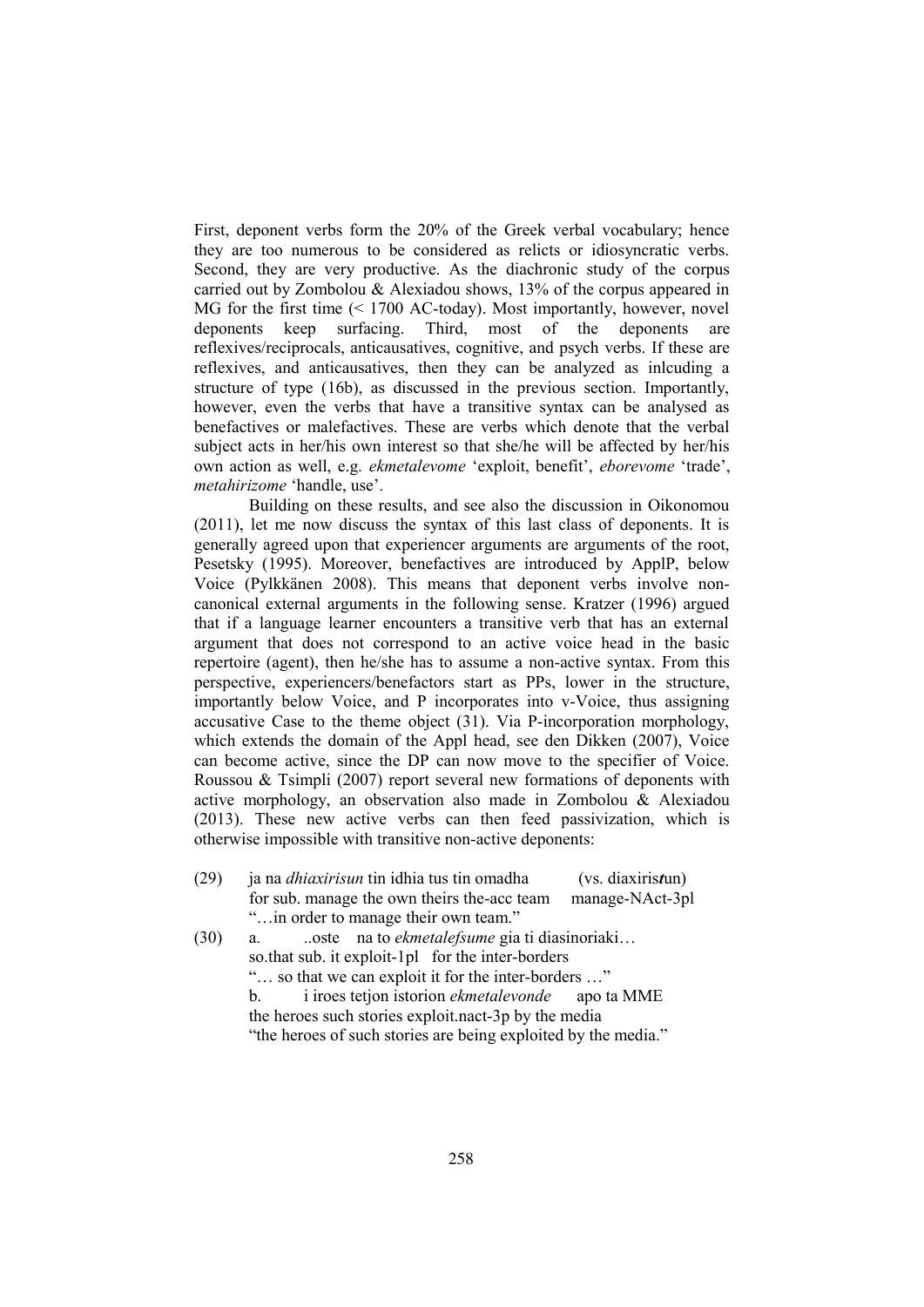First, deponent verbs form the 20% of the Greek verbal vocabulary; hence they are too numerous to be considered as relicts or idiosyncratic verbs. Second, they are very productive. As the diachronic study of the corpus carried out by Zombolou & Alexiadou shows, 13% of the corpus appeared in MG for the first time (< 1700 AC-today). Most importantly, however, novel deponents keep surfacing. Third, most of the deponents are reflexives/reciprocals, anticausatives, cognitive, and psych verbs. If these are reflexives, and anticausatives, then they can be analyzed as inlcuding a structure of type (16b), as discussed in the previous section. Importantly, however, even the verbs that have a transitive syntax can be analysed as benefactives or malefactives. These are verbs which denote that the verbal subject acts in her/his own interest so that she/he will be affected by her/his own action as well, e.g. *ekmetalevome* 'exploit, benefit', *eborevome* 'trade', *metahirizome* 'handle, use'.

Building on these results, and see also the discussion in Oikonomou (2011), let me now discuss the syntax of this last class of deponents. It is generally agreed upon that experiencer arguments are arguments of the root, Pesetsky (1995). Moreover, benefactives are introduced by ApplP, below Voice (Pylkkänen 2008). This means that deponent verbs involve noncanonical external arguments in the following sense. Kratzer (1996) argued that if a language learner encounters a transitive verb that has an external argument that does not correspond to an active voice head in the basic repertoire (agent), then he/she has to assume a non-active syntax. From this perspective, experiencers/benefactors start as PPs, lower in the structure, importantly below Voice, and P incorporates into v-Voice, thus assigning accusative Case to the theme object (31). Via P-incorporation morphology, which extends the domain of the Appl head, see den Dikken (2007), Voice can become active, since the DP can now move to the specifier of Voice. Roussou & Tsimpli (2007) report several new formations of deponents with active morphology, an observation also made in Zombolou & Alexiadou (2013). These new active verbs can then feed passivization, which is otherwise impossible with transitive non-active deponents:

(29) ja na *dhiaxirisun* tin idhia tus tin omadha (vs. diaxiris*t*un) for sub. manage the own theirs the-acc team manage-NAct-3pl "…in order to manage their own team."

(30) a. ..oste na to *ekmetalefsume* gia ti diasinoriaki… so.that sub. it exploit-1pl for the inter-borders "… so that we can exploit it for the inter-borders …" b. i iroes tetjon istorion *ekmetalevonde* apo ta MME the heroes such stories exploit.nact-3p by the media "the heroes of such stories are being exploited by the media."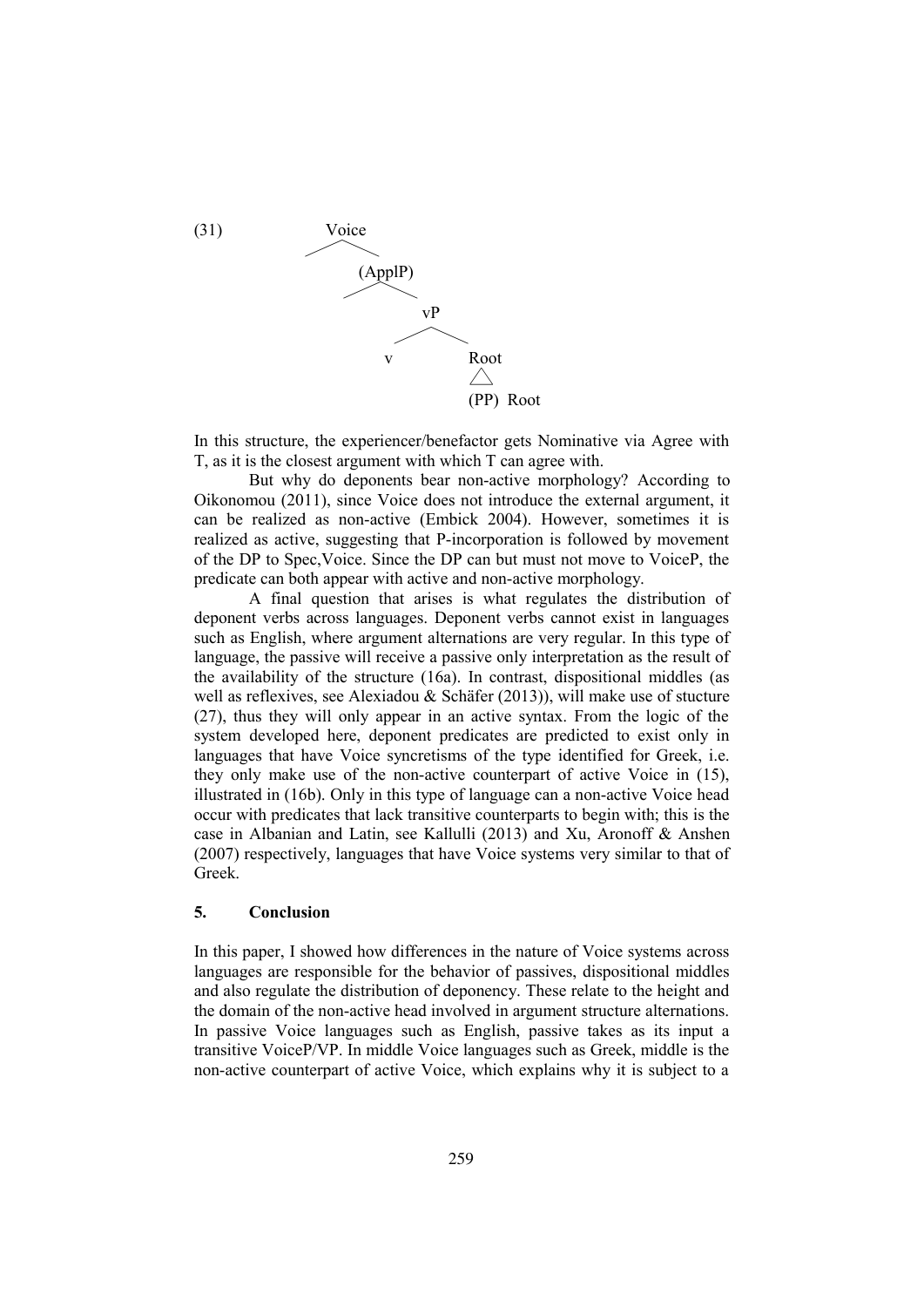

In this structure, the experiencer/benefactor gets Nominative via Agree with T, as it is the closest argument with which T can agree with.

But why do deponents bear non-active morphology? According to Oikonomou (2011), since Voice does not introduce the external argument, it can be realized as non-active (Embick 2004). However, sometimes it is realized as active, suggesting that P-incorporation is followed by movement of the DP to Spec,Voice. Since the DP can but must not move to VoiceP, the predicate can both appear with active and non-active morphology.

A final question that arises is what regulates the distribution of deponent verbs across languages. Deponent verbs cannot exist in languages such as English, where argument alternations are very regular. In this type of language, the passive will receive a passive only interpretation as the result of the availability of the structure (16a). In contrast, dispositional middles (as well as reflexives, see Alexiadou & Schäfer (2013)), will make use of stucture (27), thus they will only appear in an active syntax. From the logic of the system developed here, deponent predicates are predicted to exist only in languages that have Voice syncretisms of the type identified for Greek, i.e. they only make use of the non-active counterpart of active Voice in (15), illustrated in (16b). Only in this type of language can a non-active Voice head occur with predicates that lack transitive counterparts to begin with; this is the case in Albanian and Latin, see Kallulli (2013) and Xu, Aronoff & Anshen (2007) respectively, languages that have Voice systems very similar to that of Greek.

## **5. Conclusion**

In this paper, I showed how differences in the nature of Voice systems across languages are responsible for the behavior of passives, dispositional middles and also regulate the distribution of deponency. These relate to the height and the domain of the non-active head involved in argument structure alternations. In passive Voice languages such as English, passive takes as its input a transitive VoiceP/VP. In middle Voice languages such as Greek, middle is the non-active counterpart of active Voice, which explains why it is subject to a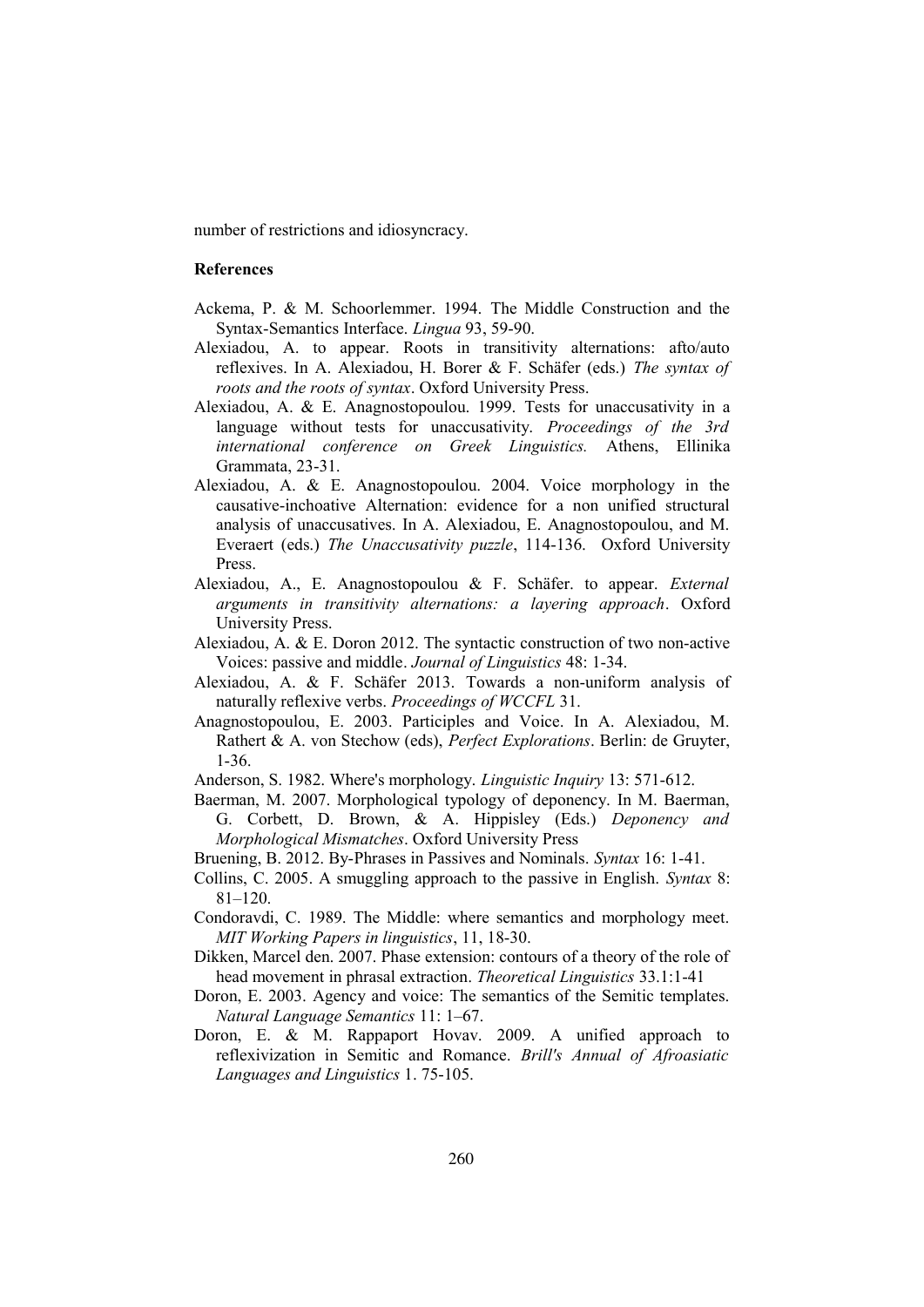number of restrictions and idiosyncracy.

## **References**

- Ackema, P. & M. Schoorlemmer. 1994. The Middle Construction and the Syntax-Semantics Interface. *Lingua* 93, 59-90.
- Alexiadou, A. to appear. Roots in transitivity alternations: afto/auto reflexives. In A. Alexiadou, H. Borer & F. Schäfer (eds.) *The syntax of roots and the roots of syntax*. Oxford University Press.
- Alexiadou, A. & E. Anagnostopoulou. 1999. Tests for unaccusativity in a language without tests for unaccusativity. *Proceedings of the 3rd international conference on Greek Linguistics.* Athens, Ellinika Grammata, 23-31.
- Alexiadou, A. & E. Anagnostopoulou. 2004. Voice morphology in the causative-inchoative Alternation: evidence for a non unified structural analysis of unaccusatives. In A. Alexiadou, E. Anagnostopoulou, and M. Everaert (eds.) *The Unaccusativity puzzle*, 114-136. Oxford University Press.
- Alexiadou, A., E. Anagnostopoulou & F. Schäfer. to appear. *External arguments in transitivity alternations: a layering approach*. Oxford University Press.
- Alexiadou, A. & E. Doron 2012. The syntactic construction of two non-active Voices: passive and middle. *Journal of Linguistics* 48: 1-34.
- Alexiadou, A. & F. Schäfer 2013. Towards a non-uniform analysis of naturally reflexive verbs. *Proceedings of WCCFL* 31.
- Anagnostopoulou, E. 2003. Participles and Voice. In A. Alexiadou, M. Rathert & A. von Stechow (eds), *Perfect Explorations*. Berlin: de Gruyter, 1-36.
- Anderson, S. 1982. Where's morphology. *Linguistic Inquiry* 13: 571-612.
- Baerman, M. 2007. Morphological typology of deponency. In M. Baerman, G. Corbett, D. Brown, & A. Hippisley (Eds.) *Deponency and Morphological Mismatches*. Oxford University Press
- Bruening, B. 2012. By-Phrases in Passives and Nominals. *Syntax* 16: 1-41.
- Collins, C. 2005. A smuggling approach to the passive in English. *Syntax* 8: 81–120.
- Condoravdi, C. 1989. The Middle: where semantics and morphology meet. *MIT Working Papers in linguistics*, 11, 18-30.
- Dikken, Marcel den. 2007. Phase extension: contours of a theory of the role of head movement in phrasal extraction. *Theoretical Linguistics* 33.1:1-41
- Doron, E. 2003. Agency and voice: The semantics of the Semitic templates. *Natural Language Semantics* 11: 1–67.
- Doron, E. & M. Rappaport Hovav. 2009. A unified approach to reflexivization in Semitic and Romance. *Brill's Annual of Afroasiatic Languages and Linguistics* 1. 75-105.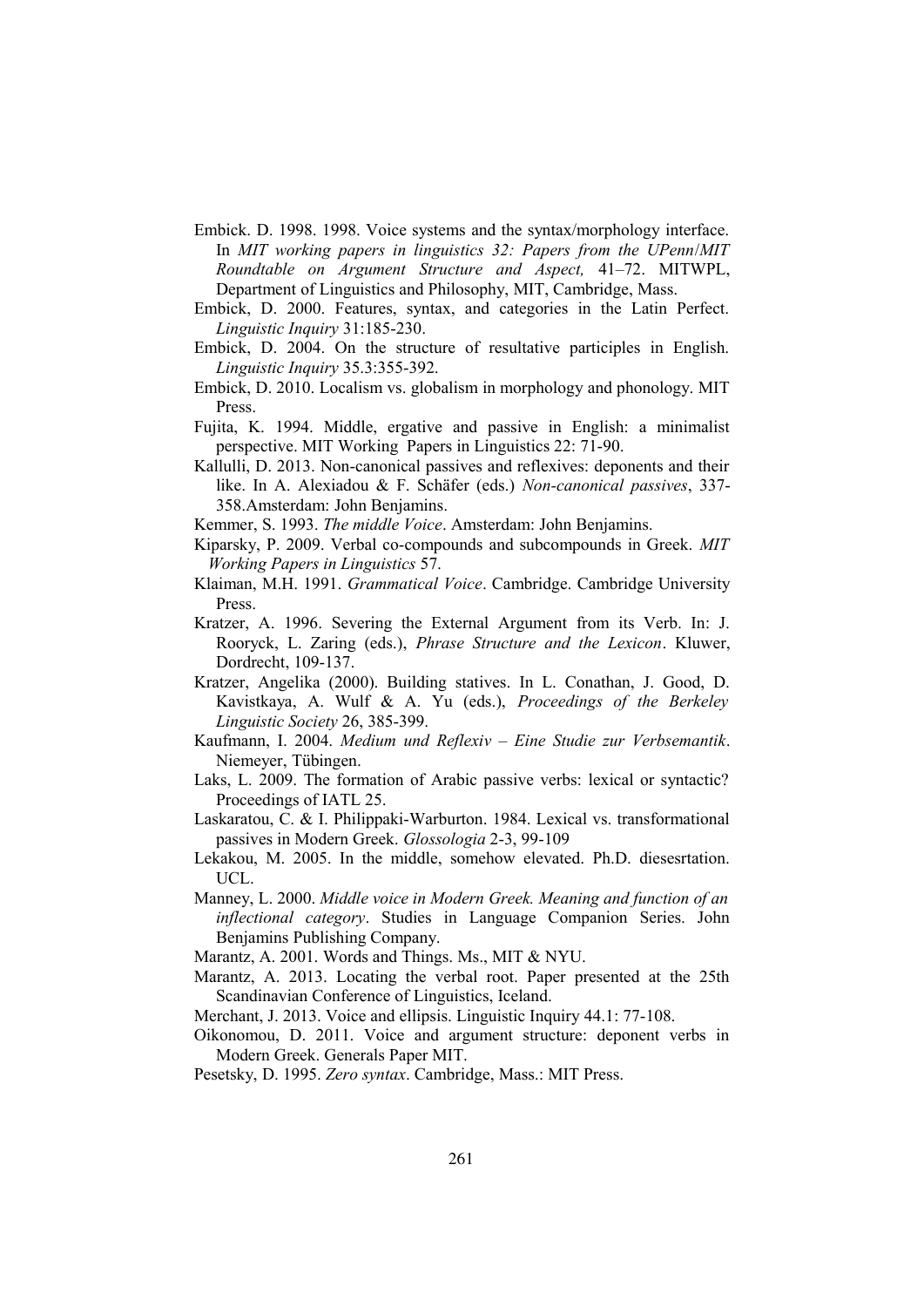- Embick. D. 1998. 1998. Voice systems and the syntax/morphology interface. In *MIT working papers in linguistics 32: Papers from the UPenn*/*MIT Roundtable on Argument Structure and Aspect,* 41–72. MITWPL, Department of Linguistics and Philosophy, MIT, Cambridge, Mass.
- Embick, D. 2000. Features, syntax, and categories in the Latin Perfect. *Linguistic Inquiry* 31:185-230.
- Embick, D. 2004. On the structure of resultative participles in English. *Linguistic Inquiry* 35.3:355-392.
- Embick, D. 2010. Localism vs. globalism in morphology and phonology. MIT Press.
- Fujita, K. 1994. Middle, ergative and passive in English: a minimalist perspective. MIT Working Papers in Linguistics 22: 71-90.
- Kallulli, D. 2013. Non-canonical passives and reflexives: deponents and their like. In A. Alexiadou & F. Schäfer (eds.) *Non-canonical passives*, 337- 358.Amsterdam: John Benjamins.
- Kemmer, S. 1993. *The middle Voice*. Amsterdam: John Benjamins.
- Kiparsky, P. 2009. Verbal co-compounds and subcompounds in Greek. *MIT Working Papers in Linguistics* 57.
- Klaiman, M.H. 1991. *Grammatical Voice*. Cambridge. Cambridge University Press.
- Kratzer, A. 1996. Severing the External Argument from its Verb. In: J. Rooryck, L. Zaring (eds.), *Phrase Structure and the Lexicon*. Kluwer, Dordrecht, 109-137.
- Kratzer, Angelika (2000). Building statives. In L. Conathan, J. Good, D. Kavistkaya, A. Wulf & A. Yu (eds.), *Proceedings of the Berkeley Linguistic Society* 26, 385-399.
- Kaufmann, I. 2004. *Medium und Reflexiv Eine Studie zur Verbsemantik*. Niemeyer, Tübingen.
- Laks, L. 2009. The formation of Arabic passive verbs: lexical or syntactic? Proceedings of IATL 25.
- Laskaratou, C. & I. Philippaki-Warburton. 1984. Lexical vs. transformational passives in Modern Greek. *Glossologia* 2-3, 99-109
- Lekakou, M. 2005. In the middle, somehow elevated. Ph.D. diesesrtation. UCL.
- Manney, L. 2000. *Middle voice in Modern Greek. Meaning and function of an inflectional category*. Studies in Language Companion Series. John Benjamins Publishing Company.
- Marantz, A. 2001. Words and Things. Ms., MIT & NYU.
- Marantz, A. 2013. Locating the verbal root. Paper presented at the 25th Scandinavian Conference of Linguistics, Iceland.
- Merchant, J. 2013. Voice and ellipsis. Linguistic Inquiry 44.1: 77-108.
- Oikonomou, D. 2011. Voice and argument structure: deponent verbs in Modern Greek. Generals Paper MIT.
- Pesetsky, D. 1995. *Zero syntax*. Cambridge, Mass.: MIT Press.